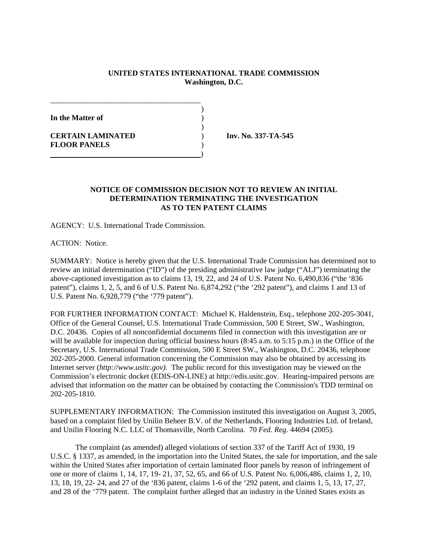## **UNITED STATES INTERNATIONAL TRADE COMMISSION Washington, D.C.**

)

)

**In the Matter of** )

**CERTAIN LAMINATED** ) **Inv. No. 337-TA-545 FLOOR PANELS** )

## **NOTICE OF COMMISSION DECISION NOT TO REVIEW AN INITIAL DETERMINATION TERMINATING THE INVESTIGATION AS TO TEN PATENT CLAIMS**

AGENCY: U.S. International Trade Commission.

\_\_\_\_\_\_\_\_\_\_\_\_\_\_\_\_\_\_\_\_\_\_\_\_\_\_\_\_\_\_\_\_\_\_\_\_\_\_\_

)

ACTION: Notice.

SUMMARY: Notice is hereby given that the U.S. International Trade Commission has determined not to review an initial determination ("ID") of the presiding administrative law judge ("ALJ") terminating the above-captioned investigation as to claims 13, 19, 22, and 24 of U.S. Patent No. 6,490,836 ("the '836 patent"), claims 1, 2, 5, and 6 of U.S. Patent No. 6,874,292 ("the '292 patent"), and claims 1 and 13 of U.S. Patent No. 6,928,779 ("the '779 patent").

FOR FURTHER INFORMATION CONTACT: Michael K. Haldenstein, Esq., telephone 202-205-3041, Office of the General Counsel, U.S. International Trade Commission, 500 E Street, SW., Washington, D.C. 20436. Copies of all nonconfidential documents filed in connection with this investigation are or will be available for inspection during official business hours (8:45 a.m. to 5:15 p.m.) in the Office of the Secretary, U.S. International Trade Commission, 500 E Street SW., Washington, D.C. 20436, telephone 202-205-2000. General information concerning the Commission may also be obtained by accessing its Internet server (*http://www.usitc.gov).* The public record for this investigation may be viewed on the Commission's electronic docket (EDIS-ON-LINE) at http://edis.usitc.gov. Hearing-impaired persons are advised that information on the matter can be obtained by contacting the Commission's TDD terminal on 202-205-1810.

SUPPLEMENTARY INFORMATION: The Commission instituted this investigation on August 3, 2005, based on a complaint filed by Unilin Beheer B.V. of the Netherlands, Flooring Industries Ltd. of Ireland, and Unilin Flooring N.C. LLC of Thomasville, North Carolina. 70 *Fed. Reg*. 44694 (2005).

The complaint (as amended) alleged violations of section 337 of the Tariff Act of 1930, 19 U.S.C. § 1337, as amended, in the importation into the United States, the sale for importation, and the sale within the United States after importation of certain laminated floor panels by reason of infringement of one or more of claims 1, 14, 17, 19- 21, 37, 52, 65, and 66 of U.S. Patent No. 6,006,486, claims 1, 2, 10, 13, 18, 19, 22- 24, and 27 of the '836 patent, claims 1-6 of the '292 patent, and claims 1, 5, 13, 17, 27, and 28 of the '779 patent. The complaint further alleged that an industry in the United States exists as